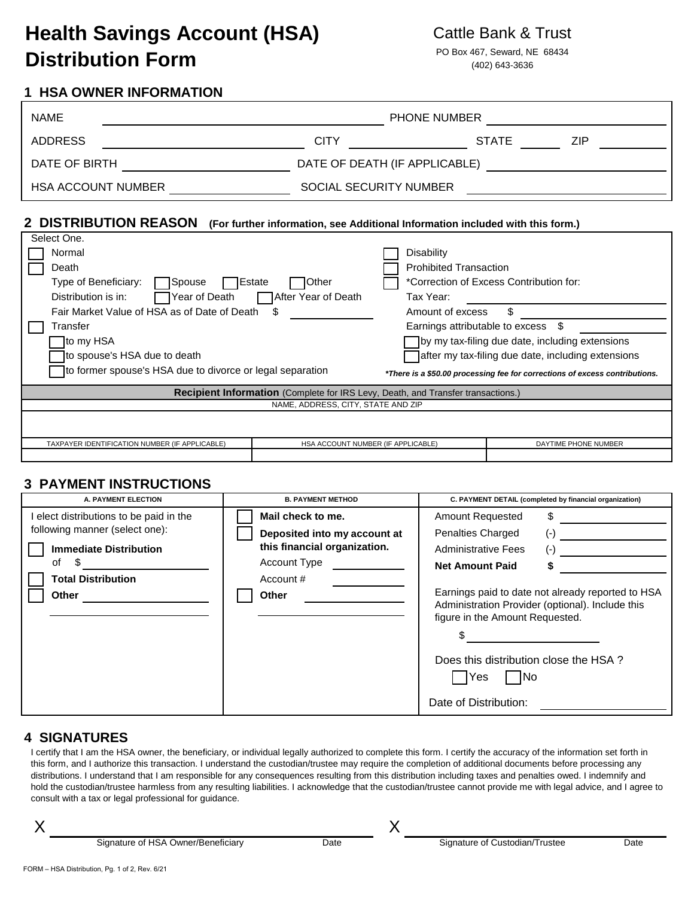# **Health Savings Account (HSA)** Cattle Bank & Trust **Distribution Form** PO Box 467, Seward, NE 68434

# **1 HSA OWNER INFORMATION**

| <b>NAME</b>               | <b>PHONE NUMBER</b>           |              |     |  |
|---------------------------|-------------------------------|--------------|-----|--|
| <b>ADDRESS</b>            | CITY                          | <b>STATE</b> | ZIP |  |
| DATE OF BIRTH             | DATE OF DEATH (IF APPLICABLE) |              |     |  |
| <b>HSA ACCOUNT NUMBER</b> | SOCIAL SECURITY NUMBER        |              |     |  |

### **2 DISTRIBUTION REASON (For further information, see Additional Information included with this form.)**

| Select One.                                                                      |                                    |                                                                             |                                                    |  |  |
|----------------------------------------------------------------------------------|------------------------------------|-----------------------------------------------------------------------------|----------------------------------------------------|--|--|
| Normal                                                                           |                                    | <b>Disability</b>                                                           |                                                    |  |  |
| Death                                                                            |                                    | <b>Prohibited Transaction</b>                                               |                                                    |  |  |
| Type of Beneficiary:<br>Spouse                                                   | <b>Estate</b><br>Other             |                                                                             | *Correction of Excess Contribution for:            |  |  |
| Year of Death<br>Distribution is in:                                             | After Year of Death                | Tax Year:                                                                   |                                                    |  |  |
| Fair Market Value of HSA as of Date of Death<br>æ.                               |                                    | \$.<br>Amount of excess                                                     |                                                    |  |  |
| Transfer                                                                         |                                    | Earnings attributable to excess                                             | -SS                                                |  |  |
| ]to my HSA                                                                       |                                    |                                                                             | by my tax-filing due date, including extensions    |  |  |
| to spouse's HSA due to death                                                     |                                    |                                                                             | after my tax-filing due date, including extensions |  |  |
| to former spouse's HSA due to divorce or legal separation                        |                                    | *There is a \$50.00 processing fee for corrections of excess contributions. |                                                    |  |  |
| Recipient Information (Complete for IRS Levy, Death, and Transfer transactions.) |                                    |                                                                             |                                                    |  |  |
| NAME, ADDRESS, CITY, STATE AND ZIP                                               |                                    |                                                                             |                                                    |  |  |
|                                                                                  |                                    |                                                                             |                                                    |  |  |
|                                                                                  |                                    |                                                                             |                                                    |  |  |
| TAXPAYER IDENTIFICATION NUMBER (IF APPLICABLE)                                   | HSA ACCOUNT NUMBER (IF APPLICABLE) |                                                                             | DAYTIME PHONE NUMBER                               |  |  |
|                                                                                  |                                    |                                                                             |                                                    |  |  |

### **3 PAYMENT INSTRUCTIONS**

| A. PAYMENT ELECTION                                                                                                                                       | <b>B. PAYMENT METHOD</b>                                                                                                       | C. PAYMENT DETAIL (completed by financial organization)                                                                                                                                                                                                                                                                                                                |  |
|-----------------------------------------------------------------------------------------------------------------------------------------------------------|--------------------------------------------------------------------------------------------------------------------------------|------------------------------------------------------------------------------------------------------------------------------------------------------------------------------------------------------------------------------------------------------------------------------------------------------------------------------------------------------------------------|--|
| elect distributions to be paid in the<br>following manner (select one):<br><b>Immediate Distribution</b><br>οf<br>S<br><b>Total Distribution</b><br>Other | Mail check to me.<br>Deposited into my account at<br>this financial organization.<br>Account Type<br>Account #<br><b>Other</b> | <b>Amount Requested</b><br>S.<br>Penalties Charged<br>$(-)$<br><b>Administrative Fees</b><br>$(-)$<br><b>Net Amount Paid</b><br>Earnings paid to date not already reported to HSA<br>Administration Provider (optional). Include this<br>figure in the Amount Requested.<br>Does this distribution close the HSA?<br><b>Yes</b><br><b>INo</b><br>Date of Distribution: |  |
|                                                                                                                                                           |                                                                                                                                |                                                                                                                                                                                                                                                                                                                                                                        |  |

### **4 SIGNATURES**

I certify that I am the HSA owner, the beneficiary, or individual legally authorized to complete this form. I certify the accuracy of the information set forth in this form, and I authorize this transaction. I understand the custodian/trustee may require the completion of additional documents before processing any distributions. I understand that I am responsible for any consequences resulting from this distribution including taxes and penalties owed. I indemnify and hold the custodian/trustee harmless from any resulting liabilities. I acknowledge that the custodian/trustee cannot provide me with legal advice, and I agree to consult with a tax or legal professional for guidance.

X

X

Signature of HSA Owner/Beneficiary **Date** Date Signature of Custodian/Trustee Date